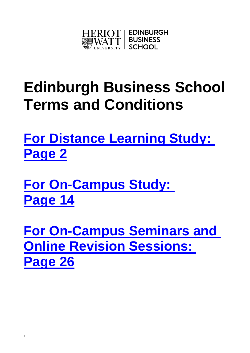

# **Edinburgh Business School Terms and Conditions**

**[For Distance Learning Study:](#page-1-0)  [Page 2](#page-1-0)**

**[For On-Campus Study:](#page-12-0)  [Page 14](#page-12-0)**

1

**[For On-Campus Seminars and](#page-25-0)  [Online Revision Sessions:](#page-25-0)  [Page 26](#page-25-0)**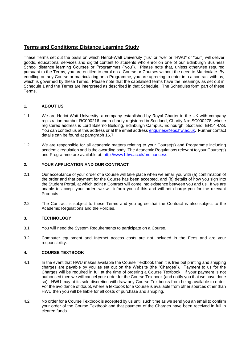## <span id="page-1-0"></span>**Terms and Conditions: Distance Learning Study**

These Terms set out the basis on which Heriot-Watt University ("us" or "we" or "HWU" or "our") will deliver goods, educational services and digital content to students who enrol on one of our Edinburgh Business School distance learning Courses or Programmes ("you"). Please note that, unless otherwise required pursuant to the Terms, you are entitled to enrol on a Course or Courses without the need to Matriculate. By enrolling on any Course or matriculating on a Programme, you are agreeing to enter into a contract with us, which is governed by these Terms. Please note that the capitalised terms have the meanings as set out in Schedule 1 and the Terms are interpreted as described in that Schedule. The Schedules form part of these Terms.

#### **1. ABOUT US**

- 1.1 We are Heriot-Watt University, a company established by Royal Charter in the UK with company registration number RC000216 and a charity registered in Scotland, Charity No: SC000278, whose registered address is Lord Balerno Building, Edinburgh Campus, Edinburgh, Scotland, EH14 4AS. You can contact us at this address or at the email address [enquiries@ebs.hw.ac.uk.](mailto:enquiries@ebs.hw.ac.uk) Further contact details can be found at paragraph 16.7.
- 1.2 We are responsible for all academic matters relating to your Course(s) and Programme including academic regulation and is the awarding body. The Academic Regulations relevant to your Course(s) and Programme are available at: [http://www1.hw.ac.uk/ordinances/.](http://www1.hw.ac.uk/ordinances/)

#### **2. YOUR APPLICATION AND OUR CONTRACT**

- 2.1 Our acceptance of your order of a Course will take place when we email you with (a) confirmation of the order and that payment for the Course has been accepted, and (b) details of how you sign into the Student Portal, at which point a Contract will come into existence between you and us. If we are unable to accept your order, we will inform you of this and will not charge you for the relevant Products.
- 2.2 The Contract is subject to these Terms and you agree that the Contract is also subject to the Academic Regulations and the Policies.

#### **3. TECHNOLOGY**

- 3.1 You will need the System Requirements to participate on a Course.
- 3.2 Computer equipment and Internet access costs are not included in the Fees and are your responsibility.

#### **4. COURSE TEXTBOOK**

- 4.1 In the event that HWU makes available the Course Textbook then it is free but printing and shipping charges are payable by you as set out on the Website (the "Charges"). Payment to us for the Charges will be required in full at the time of ordering a Course Textbook. If your payment is not authorised then we will cancel your order for the Course Textbook (and notify you that we have done so). HWU may at its sole discretion withdraw any Course Textbooks from being available to order. For the avoidance of doubt, where a textbook for a Course is available from other sources other than HWU then you will be liable for all costs of purchase and shipping.
- 4.2 No order for a Course Textbook is accepted by us until such time as we send you an email to confirm your order of the Course Textbook and that payment of the Charges have been received in full in cleared funds.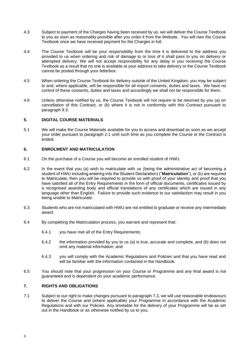- 4.3 Subject to payment of the Charges having been received by us, we will deliver the Course Textbook to you as soon as reasonably possible after you order it from the Website. You will own the Course Textbook once we have received payment for the Charges in full.
- 4.4 The Course Textbook will be your responsibility from the time it is delivered to the address you provided to us when ordering and risk of damage to or loss of it shall pass to you on delivery or attempted delivery. We will not accept responsibility for any delay in you receiving the Course Textbook as a result that no one is available at your address to take delivery or the Course Textbook cannot be posted through your letterbox.
- 4.5 When ordering the Course Textbook for delivery outside of the United Kingdom, you may be subject to and, where applicable, will be responsible for all import consents, duties and taxes. We have no control of these consents, duties and taxes and accordingly we shall not be responsible for them.
- 4.6 Unless otherwise notified by us, the Course Textbook will not require to be returned by you (a) on cancellation of this Contract, or (b) where it is not in conformity with this Contract pursuant to paragraph 9.3.

#### **5. DIGITAL COURSE MATERIALS**

5.1 We will make the Course Materials available for you to access and download as soon as we accept your order pursuant to paragraph 2.1 until such time as you complete the Course or the Contract is ended.

#### **6. ENROLMENT AND MATRICULATION**

- 6.1 On the purchase of a Course you will become an enrolled student of HWU.
- 6.2 In the event that you (a) wish to matriculate with us (being the administrative act of becoming a student of HWU including entering into the Student Declaration) ("**Matriculation**"), or (b) are required to Matriculate, then you will be required to provide us with proof of your identity and proof that you have satisfied all of the Entry Requirements in the form of official documents, certificates issued by a recognised awarding body and official translations of any certificates which are issued in any language other than English. Failure to provide such evidence to our satisfaction may result in you being unable to Matriculate.
- 6.3 Students who are not matriculated with HWU are not entitled to graduate or receive any intermediate award.
- 6.4 By completing the Matriculation process, you warrant and represent that:
	- 6.4.1 you have met all of the Entry Requirements;
	- 6.4.2 the information provided by you to us (a) is true, accurate and complete, and (b) does not omit any material information; and
	- 6.4.3 you will comply with the Academic Regulations and Policies and that you have read and will be familiar with the information contained in the Handbook.
- 6.5 You should note that your progression on your Course or Programme and any final award is not guaranteed and is dependent on your academic performance.

#### **7. RIGHTS AND OBLIGATIONS**

7.1 Subject to our right to make changes pursuant to paragraph 7.3, we will use reasonable endeavours to deliver the Course and (where applicable) your Programme in accordance with the Academic Regulations and with our Policies. Any timetable for the delivery of your Programme will be as set out in the Handbook or as otherwise notified by us to you.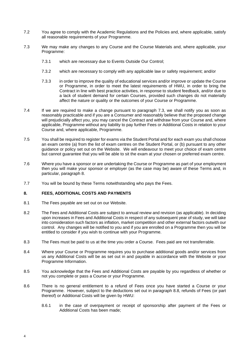- 7.2 You agree to comply with the Academic Regulations and the Policies and, where applicable, satisfy all reasonable requirements of your Programme.
- 7.3 We may make any changes to any Course and the Course Materials and, where applicable, your Programme:
	- 7.3.1 which are necessary due to Events Outside Our Control;
	- 7.3.2 which are necessary to comply with any applicable law or safety requirement; and/or
	- 7.3.3 in order to improve the quality of educational services and/or improve or update the Course or Programme, in order to meet the latest requirements of HWU, in order to bring the Contract in line with best practice activities, in response to student feedback, and/or due to a lack of student demand for certain Courses, provided such changes do not materially affect the nature or quality or the outcomes of your Course or Programme.
- 7.4 If we are required to make a change pursuant to paragraph 7.3, we shall notify you as soon as reasonably practicable and if you are a Consumer and reasonably believe that the proposed change will prejudicially affect you, you may cancel the Contract and withdraw from your Course and, where applicable, Programme without any liability to pay further Fees or Additional Costs in relation to your Course and, where applicable, Programme.
- 7.5 You shall be required to register for exams via the Student Portal and for each exam you shall choose an exam centre (a) from the list of exam centres on the Student Portal, or (b) pursuant to any other guidance or policy set out on the Website. We will endeavour to meet your choice of exam centre but cannot guarantee that you will be able to sit the exam at your chosen or preferred exam centre.
- 7.6 Where you have a sponsor or are undertaking the Course or Programme as part of your employment then you will make your sponsor or employer (as the case may be) aware of these Terms and, in particular, paragraph 8.
- 7.7 You will be bound by these Terms notwithstanding who pays the Fees.

#### **8. FEES, ADDITIONAL COSTS AND PAYMENTS**

- 8.1 The Fees payable are set out on our Website.
- 8.2 The Fees and Additional Costs are subject to annual review and revision (as applicable). In deciding upon increases in Fees and Additional Costs in respect of any subsequent year of study, we will take into consideration such factors as inflation, market competition and other external factors outwith our control. Any changes will be notified to you and if you are enrolled on a Programme then you will be entitled to consider if you wish to continue with your Programme.
- 8.3 The Fees must be paid to us at the time you order a Course. Fees paid are not transferrable.
- 8.4 Where your Course or Programme requires you to purchase additional goods and/or services from us any Additional Costs will be as set out in and payable in accordance with the Website or your Programme Information.
- 8.5 You acknowledge that the Fees and Additional Costs are payable by you regardless of whether or not you complete or pass a Course or your Programme.
- 8.6 There is no general entitlement to a refund of Fees once you have started a Course or your Programme. However, subject to the deductions set out in paragraph 8.8, refunds of Fees (or part thereof) or Additional Costs will be given by HWU:
	- 8.6.1 in the case of overpayment or receipt of sponsorship after payment of the Fees or Additional Costs has been made;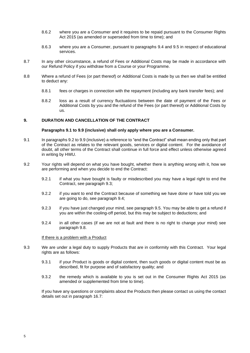- 8.6.2 where you are a Consumer and it requires to be repaid pursuant to the Consumer Rights Act 2015 (as amended or superseded from time to time); and
- 8.6.3 where you are a Consumer, pursuant to paragraphs 9.4 and 9.5 in respect of educational services.
- 8.7 In any other circumstance, a refund of Fees or Additional Costs may be made in accordance with our Refund Policy if you withdraw from a Course or your Programme.
- 8.8 Where a refund of Fees (or part thereof) or Additional Costs is made by us then we shall be entitled to deduct any:
	- 8.8.1 fees or charges in connection with the repayment (including any bank transfer fees); and
	- 8.8.2 loss as a result of currency fluctuations between the date of payment of the Fees or Additional Costs by you and the refund of the Fees (or part thereof) or Additional Costs by us.

#### **9. DURATION AND CANCELLATION OF THE CONTRACT**

#### **Paragraphs 9.1 to 9.9 (inclusive) shall only apply where you are a Consumer.**

- 9.1 In paragraphs 9.2 to 9.9 (inclusive) a reference to "end the Contract" shall mean ending only that part of the Contract as relates to the relevant goods, services or digital content. For the avoidance of doubt, all other terms of the Contract shall continue in full force and effect unless otherwise agreed in writing by HWU.
- 9.2 Your rights will depend on what you have bought, whether there is anything wrong with it, how we are performing and when you decide to end the Contract:
	- 9.2.1 if what you have bought is faulty or misdescribed you may have a legal right to end the Contract, see paragraph 9.3;
	- 9.2.2 if you want to end the Contract because of something we have done or have told you we are going to do, see paragraph 9.4;
	- 9.2.3 if you have just changed your mind, see paragraph 9.5. You may be able to get a refund if you are within the cooling-off period, but this may be subject to deductions; and
	- 9.2.4 in all other cases (if we are not at fault and there is no right to change your mind) see paragraph 9.8.

#### If there is a problem with a Product

- 9.3 We are under a legal duty to supply Products that are in conformity with this Contract. Your legal rights are as follows:
	- 9.3.1 if your Product is goods or digital content, then such goods or digital content must be as described, fit for purpose and of satisfactory quality; and
	- 9.3.2 the remedy which is available to you is set out in the Consumer Rights Act 2015 (as amended or supplemented from time to time).

If you have any questions or complaints about the Products then please contact us using the contact details set out in paragraph 16.7: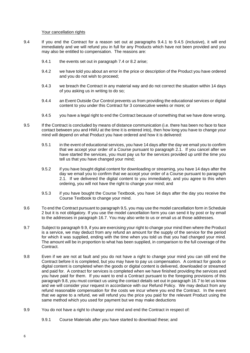#### Your cancellation rights

- 9.4 If you end the Contract for a reason set out at paragraphs 9.4.1 to 9.4.5 (inclusive), it will end immediately and we will refund you in full for any Products which have not been provided and you may also be entitled to compensation. The reasons are:
	- 9.4.1 the events set out in paragraph 7.4 or 8.2 arise;
	- 9.4.2 we have told you about an error in the price or description of the Product you have ordered and you do not wish to proceed;
	- 9.4.3 we breach the Contract in any material way and do not correct the situation within 14 days of you asking us in writing to do so;
	- 9.4.4 an Event Outside Our Control prevents us from providing the educational services or digital content to you under this Contract for 3 consecutive weeks or more; or
	- 9.4.5 you have a legal right to end the Contract because of something that we have done wrong.
- 9.5 If the Contract is concluded by means of distance communication (i.e. there has been no face to face contact between you and HWU at the time it is entered into), then how long you have to change your mind will depend on what Product you have ordered and how it is delivered:
	- 9.5.1 in the event of educational services, you have 14 days after the day we email you to confirm that we accept your order of a Course pursuant to paragraph 2.1. If you cancel after we have started the services, you must pay us for the services provided up until the time you tell us that you have changed your mind;
	- 9.5.2 if you have bought digital content for downloading or streaming, you have 14 days after the day we email you to confirm that we accept your order of a Course pursuant to paragraph 2.1. If we delivered the digital content to you immediately, and you agree to this when ordering, you will not have the right to change your mind; and
	- 9.5.3 if you have bought the Course Textbook, you have 14 days after the day you receive the Course Textbook to change your mind.
- 9.6 To end the Contract pursuant to paragraph 9.5, you may use the model cancellation form in Schedule 2 but it is not obligatory. If you use the model cancellation form you can send it by post or by email [to](mailto:to_admissons@arts.ac.uk) the addresses in paragraph 16.7. You may also write to us or email us at those addresses.
- 9.7 Subject to paragraph 9.9, if you are exercising your right to change your mind then where the Product is a service, we may deduct from any refund an amount for the supply of the service for the period for which it was supplied, ending with the time when you told us that you had changed your mind. The amount will be in proportion to what has been supplied, in comparison to the full coverage of the Contract.
- 9.8 Even if we are not at fault and you do not have a right to change your mind you can still end the Contract before it is completed, but you may have to pay us compensation. A contract for goods or digital content is completed when the goods or digital content is delivered, downloaded or streamed and paid for. A contract for services is completed when we have finished providing the services and you have paid for them. If you want to end a Contract pursuant to the foregoing provisions of this paragraph 9.8, you must contact us using the contact details set out in paragraph 16.7 to let us know and we will consider your request in accordance with our Refund Policy. We may deduct from any refund reasonable compensation for the costs we incur where you end the Contract. In the event that we agree to a refund, we will refund you the price you paid for the relevant Product using the same method which you used for payment but we may make deductions
- 9.9 You do not have a right to change your mind and end the Contract in respect of:
	- 9.9.1 Course Materials after you have started to download these; and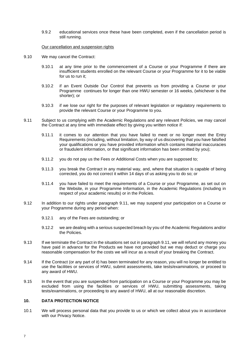9.9.2 educational services once these have been completed, even if the cancellation period is still running.

#### Our cancellation and suspension rights

- 9.10 We may cancel the Contract:
	- 9.10.1 at any time prior to the commencement of a Course or your Programme if there are insufficient students enrolled on the relevant Course or your Programme for it to be viable for us to run it;
	- 9.10.2 if an Event Outside Our Control that prevents us from providing a Course or your Programme continues for longer than one HWU semester or 16 weeks, (whichever is the shorter); or
	- 9.10.3 if we lose our right for the purposes of relevant legislation or regulatory requirements to provide the relevant Course or your Programme to you.
- 9.11 Subject to us complying with the Academic Regulations and any relevant Policies, we may cancel the Contract at any time with immediate effect by giving you written notice if:
	- 9.11.1 it comes to our attention that you have failed to meet or no longer meet the Entry Requirements (including, without limitation, by way of us discovering that you have falsified your qualifications or you have provided information which contains material inaccuracies or fraudulent information, or that significant information has been omitted by you);
	- 9.11.2 you do not pay us the Fees or Additional Costs when you are supposed to;
	- 9.11.3 you break the Contract in any material way, and, where that situation is capable of being corrected, you do not correct it within 14 days of us asking you to do so; or
	- 9.11.4 you have failed to meet the requirements of a Course or your Programme, as set out on the Website, in your Programme Information, in the Academic Regulations (including in respect of your academic results) or in the Policies.
- 9.12 In addition to our rights under paragraph 9.11, we may suspend your participation on a Course or your Programme during any period when:
	- 9.12.1 any of the Fees are outstanding; or
	- 9.12.2 we are dealing with a serious suspected breach by you of the Academic Regulations and/or the Policies.
- 9.13 If we terminate the Contract in the situations set out in paragraph 9.11, we will refund any money you have paid in advance for the Products we have not provided but we may deduct or charge you reasonable compensation for the costs we will incur as a result of your breaking the Contract.
- 9.14 If the Contract (or any part of it) has been terminated for any reason, you will no longer be entitled to use the facilities or services of HWU, submit assessments, take tests/examinations, or proceed to any award of HWU.
- 9.15 In the event that you are suspended from participation on a Course or your Programme you may be excluded from using the facilities or services of HWU, submitting assessments, taking tests/examinations, or proceeding to any award of HWU, all at our reasonable discretion.

#### **10. DATA PROTECTION NOTICE**

10.1 We will process personal data that you provide to us or which we collect about you in accordance with our Privacy Notice.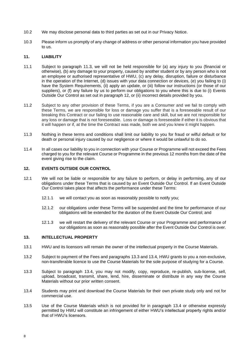- 10.2 We may disclose personal data to third parties as set out in our Privacy Notice.
- 10.3 Please inform us promptly of any change of address or other personal information you have provided to us.

#### **11. LIABILITY**

- 11.1 Subject to paragraph 11.3, we will not be held responsible for (a) any injury to you (financial or otherwise), (b) any damage to your property, caused by another student or by any person who is not an employee or authorised representative of HWU, (c) any delay, disruption, failure or disturbance in the operation of the Internet, (d) issues with your data connection or devices, (e) you failing to (i) have the System Requirements, (ii) apply an update, or (iii) follow our instructions (or those of our suppliers), or (f) any failure by us to perform our obligations to you where this is due to (i) Events Outside Our Control as set out in paragraph 12, or (ii) incorrect details provided by you.
- 11.2 Subject to any other provision of these Terms, if you are a Consumer and we fail to comply with these Terms, we are responsible for loss or damage you suffer that is a foreseeable result of our breaking this Contract or our failing to use reasonable care and skill, but we are not responsible for any loss or damage that is not foreseeable. Loss or damage is foreseeable if either it is obvious that it will happen or if, at the time the Contract was made, both we and you knew it might happen.
- 11.3 Nothing in these terms and conditions shall limit our liability to you for fraud or wilful default or for death or personal injury caused by our negligence or where it would be unlawful to do so.
- 11.4 In all cases our liability to you in connection with your Course or Programme will not exceed the Fees charged to you for the relevant Course or Programme in the previous 12 months from the date of the event giving rise to the claim.

#### **12. EVENTS OUTSIDE OUR CONTROL**

- 12.1 We will not be liable or responsible for any failure to perform, or delay in performing, any of our obligations under these Terms that is caused by an Event Outside Our Control. If an Event Outside Our Control takes place that affects the performance under these Terms:
	- 12.1.1 we will contact you as soon as reasonably possible to notify you;
	- 12.1.2 our obligations under these Terms will be suspended and the time for performance of our obligations will be extended for the duration of the Event Outside Our Control; and
	- 12.1.3 we will restart the delivery of the relevant Course or your Programme and performance of our obligations as soon as reasonably possible after the Event Outside Our Control is over.

#### **13. INTELLECTUAL PROPERTY**

- 13.1 HWU and its licensors will remain the owner of the intellectual property in the Course Materials.
- 13.2 Subject to payment of the Fees and paragraphs 13.3 and 13.4, HWU grants to you a non-exclusive, non-transferable licence to use the Course Materials for the sole purpose of studying for a Course.
- 13.3 Subject to paragraph 13.4, you may not modify, copy, reproduce, re-publish, sub-license, sell, upload, broadcast, transmit, share, lend, hire, disseminate or distribute in any way the Course Materials without our prior written consent.
- 13.4 Students may print and download the Course Materials for their own private study only and not for commercial use.
- 13.5 Use of the Course Materials which is not provided for in paragraph 13.4 or otherwise expressly permitted by HWU will constitute an infringement of either HWU's intellectual property rights and/or that of HWU's licensors.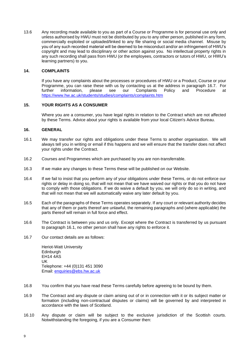13.6 Any recording made available to you as part of a Course or Programme is for personal use only and unless authorised by HWU must not be distributed by you to any other person, published in any form, commercially exploited or uploaded/linked to any file sharing or social media channel. Misuse by you of any such recorded material will be deemed to be misconduct and/or an infringement of HWU's copyright and may lead to disciplinary or other action against you. No intellectual property rights in any such recording shall pass from HWU (or the employees, contractors or tutors of HWU, or HWU's learning partners) to you.

#### **14. COMPLAINTS**

If you have any complaints about the processes or procedures of HWU or a Product, Course or your Programme, you can raise these with us by contacting us at the address in paragraph 16.7. For turther information. please see our Complaints Policy and Procedure at further information, please see our Complaints Policy and Procedure at <https://www.hw.ac.uk/students/studies/complaints/complaints.htm>

#### **15. YOUR RIGHTS AS A CONSUMER**

Where you are a consumer, you have legal rights in relation to the Contract which are not affected by these Terms. Advice about your rights is available from your local Citizen's Advice Bureau.

#### **16. GENERAL**

- 16.1 We may transfer our rights and obligations under these Terms to another organisation. We will always tell you in writing or email if this happens and we will ensure that the transfer does not affect your rights under the Contract.
- 16.2 Courses and Programmes which are purchased by you are non-transferrable.
- 16.3 If we make any changes to these Terms these will be published on our Website.
- 16.4 If we fail to insist that you perform any of your obligations under these Terms, or do not enforce our rights or delay in doing so, that will not mean that we have waived our rights or that you do not have to comply with those obligations. If we do waive a default by you, we will only do so in writing, and that will not mean that we will automatically waive any later default by you.
- 16.5 Each of the paragraphs of these Terms operates separately. If any court or relevant authority decides that any of them or parts thereof are unlawful, the remaining paragraphs and (where applicable) the parts thereof will remain in full force and effect.
- 16.6 The Contract is between you and us only. Except where the Contract is transferred by us pursuant to paragraph 16.1, no other person shall have any rights to enforce it.
- 16.7 Our contact details are as follows:

Heriot-Watt University **Edinburgh** EH14 4AS UK Telephone: +44 (0)131 451 3090 Email: [enquiries@ebs.hw.ac.uk](mailto:enquiries@ebs.hw.ac.uk)

- 16.8 You confirm that you have read these Terms carefully before agreeing to be bound by them.
- 16.9 The Contract and any dispute or claim arising out of or in connection with it or its subject matter or formation (including non-contractual disputes or claims) will be governed by and interpreted in accordance with the laws of Scotland.
- 16.10 Any dispute or claim will be subject to the exclusive jurisdiction of the Scottish courts. Notwithstanding the foregoing, if you are a Consumer then: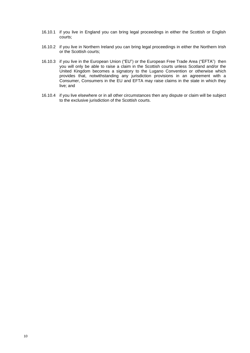- 16.10.1 if you live in England you can bring legal proceedings in either the Scottish or English courts;
- 16.10.2 if you live in Northern Ireland you can bring legal proceedings in either the Northern Irish or the Scottish courts;
- 16.10.3 if you live in the European Union ("EU") or the European Free Trade Area ("EFTA") then you will only be able to raise a claim in the Scottish courts unless Scotland and/or the United Kingdom becomes a signatory to the Lugano Convention or otherwise which provides that, notwithstanding any jurisdiction provisions in an agreement with a Consumer, Consumers in the EU and EFTA may raise claims in the state in which they live; and
- 16.10.4 if you live elsewhere or in all other circumstances then any dispute or claim will be subject to the exclusive jurisdiction of the Scottish courts.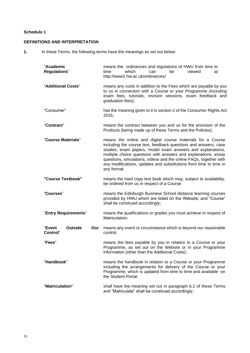#### **Schedule 1**

#### **DEFINITIONS AND INTERPRETATION**

**1.** In these Terms, the following terms have the meanings as set out below:

| "Academic<br><b>Regulations"</b>                   | means the ordinances and regulations of HWU from time to<br>which<br>be<br>time<br>can<br>viewed<br>at<br>http://www1.hw.ac.uk/ordinances/                                                                                                                                                                                                                                                                             |
|----------------------------------------------------|------------------------------------------------------------------------------------------------------------------------------------------------------------------------------------------------------------------------------------------------------------------------------------------------------------------------------------------------------------------------------------------------------------------------|
| "Additional Costs"                                 | means any costs in addition to the Fees which are payable by you<br>to us in connection with a Course or your Programme (including<br>exam fees, tutorials, revision sessions, exam feedback and<br>graduation fees);                                                                                                                                                                                                  |
| "Consumer"                                         | has the meaning given to it in section 2 of the Consumer Rights Act<br>2015;                                                                                                                                                                                                                                                                                                                                           |
| "Contract"                                         | means the contract between you and us for the provision of the<br>Products (being made up of these Terms and the Policies);                                                                                                                                                                                                                                                                                            |
| "Course Materials"                                 | means the online and digital course materials for a Course<br>including the course text, feedback questions and answers, case<br>studies, exam papers, model exam answers and explanations,<br>multiple choice questions with answers and explanations, essay<br>questions, simulations, videos and the online FAQs, together with<br>any modifications, updates and substitutions from time to time in<br>any format; |
| "Course Textbook"                                  | means the hard copy text book which may, subject to availability,<br>be ordered from us in respect of a Course.                                                                                                                                                                                                                                                                                                        |
| "Courses"                                          | means the Edinburgh Business School distance learning courses<br>provided by HWU which are listed on the Website; and "Course"<br>shall be construed accordingly;                                                                                                                                                                                                                                                      |
| "Entry Requirements"                               | means the qualifications or grades you must achieve in respect of<br>Matriculation;                                                                                                                                                                                                                                                                                                                                    |
| <b>Outside</b><br>"Event<br>Our<br><b>Control"</b> | means any event or circumstance which is beyond our reasonable<br>control;                                                                                                                                                                                                                                                                                                                                             |
| "Fees"                                             | means the fees payable by you in relation to a Course or your<br>Programme, as set out on the Website or in your Programme<br>Information (other than the Additional Costs);                                                                                                                                                                                                                                           |
| "Handbook"                                         | means the handbook in relation to a Course or your Programme<br>including the arrangements for delivery of the Course or your<br>Programme, which is updated from time to time and available on<br>the Student Portal;                                                                                                                                                                                                 |
| "Matriculation"                                    | shall have the meaning set out in paragraph 6.2 of these Terms<br>and "Matriculate" shall be construed accordingly;                                                                                                                                                                                                                                                                                                    |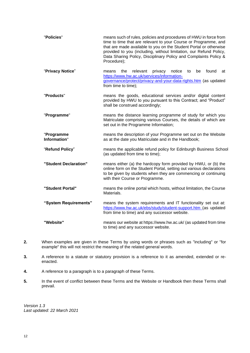| "Policies"                 | means such of rules, policies and procedures of HWU in force from<br>time to time that are relevant to your Course or Programme, and<br>that are made available to you on the Student Portal or otherwise<br>provided to you (including, without limitation, our Refund Policy,<br>Data Sharing Policy, Disciplinary Policy and Complaints Policy &<br>Procedure); |  |  |
|----------------------------|--------------------------------------------------------------------------------------------------------------------------------------------------------------------------------------------------------------------------------------------------------------------------------------------------------------------------------------------------------------------|--|--|
| "Privacy Notice"           | notice<br>found<br>the<br>relevant<br>privacy<br>be<br>means<br>to<br>at<br>https://www.hw.ac.uk/services/information-<br>governance/protect/privacy-and-your-data-rights.htm (as updated<br>from time to time);                                                                                                                                                   |  |  |
| "Products"                 | means the goods, educational services and/or digital content<br>provided by HWU to you pursuant to this Contract; and "Product"<br>shall be construed accordingly;                                                                                                                                                                                                 |  |  |
| "Programme"                | means the distance learning programme of study for which you<br>Matriculate comprising various Courses, the details of which are<br>set out in the Programme Information;                                                                                                                                                                                          |  |  |
| "Programme<br>Information" | means the description of your Programme set out on the Website<br>as at the date you Matriculate and in the Handbook;                                                                                                                                                                                                                                              |  |  |
| "Refund Policy"            | means the applicable refund policy for Edinburgh Business School<br>(as updated from time to time);                                                                                                                                                                                                                                                                |  |  |
| "Student Declaration"      | means either (a) the hardcopy form provided by HWU, or (b) the<br>online form on the Student Portal, setting out various declarations<br>to be given by students when they are commencing or continuing<br>with their Course or Programme.                                                                                                                         |  |  |
| "Student Portal"           | means the online portal which hosts, without limitation, the Course<br>Materials.                                                                                                                                                                                                                                                                                  |  |  |
| "System Requirements"      | means the system requirements and IT functionality set out at:<br>https://www.hw.ac.uk/ebs/study/student-support.htm (as updated<br>from time to time) and any successor website.                                                                                                                                                                                  |  |  |
| "Website"                  | means our website at https://www.hw.ac.uk/ (as updated from time<br>to time) and any successor website.                                                                                                                                                                                                                                                            |  |  |

- **2.** When examples are given in these Terms by using words or phrases such as "including" or "for example" this will not restrict the meaning of the related general words.
- **3.** A reference to a statute or statutory provision is a reference to it as amended, extended or reenacted.
- **4.** A reference to a paragraph is to a paragraph of these Terms.
- **5.** In the event of conflict between these Terms and the Website or Handbook then these Terms shall prevail.

*Version 1.3 Last updated: 22 March 2021*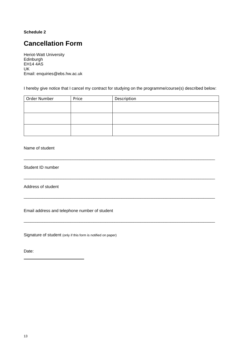#### <span id="page-12-0"></span>**Schedule 2**

# **Cancellation Form**

Heriot-Watt University Edinburgh EH14 4AS UK Email: enquiries@ebs.hw.ac.uk

I hereby give notice that I cancel my contract for studying on the programme/course(s) described below:

| Order Number | Price | Description |
|--------------|-------|-------------|
|              |       |             |
|              |       |             |
|              |       |             |
|              |       |             |
|              |       |             |
|              |       |             |

\_\_\_\_\_\_\_\_\_\_\_\_\_\_\_\_\_\_\_\_\_\_\_\_\_\_\_\_\_\_\_\_\_\_\_\_\_\_\_\_\_\_\_\_\_\_\_\_\_\_\_\_\_\_\_\_\_\_\_\_\_\_\_\_\_\_\_\_\_\_\_\_\_\_\_\_\_\_\_\_\_\_

\_\_\_\_\_\_\_\_\_\_\_\_\_\_\_\_\_\_\_\_\_\_\_\_\_\_\_\_\_\_\_\_\_\_\_\_\_\_\_\_\_\_\_\_\_\_\_\_\_\_\_\_\_\_\_\_\_\_\_\_\_\_\_\_\_\_\_\_\_\_\_\_\_\_\_\_\_\_\_\_\_\_

\_\_\_\_\_\_\_\_\_\_\_\_\_\_\_\_\_\_\_\_\_\_\_\_\_\_\_\_\_\_\_\_\_\_\_\_\_\_\_\_\_\_\_\_\_\_\_\_\_\_\_\_\_\_\_\_\_\_\_\_\_\_\_\_\_\_\_\_\_\_\_\_\_\_\_\_\_\_\_\_\_\_

\_\_\_\_\_\_\_\_\_\_\_\_\_\_\_\_\_\_\_\_\_\_\_\_\_\_\_\_\_\_\_\_\_\_\_\_\_\_\_\_\_\_\_\_\_\_\_\_\_\_\_\_\_\_\_\_\_\_\_\_\_\_\_\_\_\_\_\_\_\_\_\_\_\_\_\_\_\_\_\_\_\_

Name of student

Student ID number

Address of student

Email address and telephone number of student

Signature of student (only if this form is notified on paper)

Date: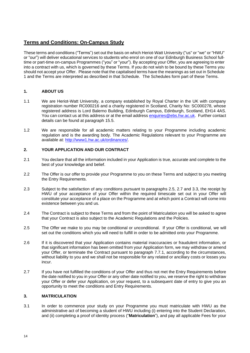## **Terms and Conditions: On-Campus Study**

These terms and conditions ("Terms") set out the basis on which Heriot-Watt University ("us" or "we" or "HWU" or "our") will deliver educational services to students who enrol on one of our Edinburgh Business School fulltime or part-time on-campus Programmes ("you" or "your"). By accepting your Offer, you are agreeing to enter into a contract with us, which is governed by these Terms. If you do not wish to be bound by these Terms you should not accept your Offer. Please note that the capitalised terms have the meanings as set out in Schedule 1 and the Terms are interpreted as described in that Schedule. The Schedules form part of these Terms.

#### **1. ABOUT US**

- 1.1 We are Heriot-Watt University, a company established by Royal Charter in the UK with company registration number RC000216 and a charity registered in Scotland, Charity No: SC000278, whose registered address is Lord Balerno Building, Edinburgh Campus, Edinburgh, Scotland, EH14 4AS. You can contact us at this address or at the email address [enquiries@ebs.hw.ac.uk.](mailto:enquiries@ebs.hw.ac.uk) Further contact details can be found at paragraph 15.5.
- 1.2 We are responsible for all academic matters relating to your Programme including academic regulation and is the awarding body. The Academic Regulations relevant to your Programme are available at: [http://www1.hw.ac.uk/ordinances/.](http://www1.hw.ac.uk/ordinances/)

#### **2. YOUR APPLICATION AND OUR CONTRACT**

- 2.1 You declare that all the information included in your Application is true, accurate and complete to the best of your knowledge and belief.
- 2.2 The Offer is our offer to provide your Programme to you on these Terms and subject to you meeting the Entry Requirements.
- 2.3 Subject to the satisfaction of any conditions pursuant to paragraphs 2.5, 2.7 and 3.3, the receipt by HWU of your acceptance of your Offer within the required timescale set out in your Offer will constitute your acceptance of a place on the Programme and at which point a Contract will come into existence between you and us.
- 2.4 The Contract is subject to these Terms and from the point of Matriculation you will be asked to agree that your Contract is also subject to the Academic Regulations and the Policies.
- 2.5 The Offer we make to you may be conditional or unconditional. If your Offer is conditional, we will set out the conditions which you will need to fulfill in order to be admitted onto your Programme.
- 2.6 If it is discovered that your Application contains material inaccuracies or fraudulent information, or that significant information has been omitted from your Application form, we may withdraw or amend your Offer, or terminate the Contract pursuant to paragraph 7.7.1, according to the circumstances, without liability to you and we shall not be responsible for any related or ancillary costs or losses you incur.
- 2.7 If you have not fulfilled the conditions of your Offer and thus not met the Entry Requirements before the date notified to you in your Offer or any other date notified to you, we reserve the right to withdraw your Offer or defer your Application, on your request, to a subsequent date of entry to give you an opportunity to meet the conditions and Entry Requirements.

#### **3. MATRICULATION**

3.1 In order to commence your study on your Programme you must matriculate with HWU as the administrative act of becoming a student of HWU including (i) entering into the Student Declaration, and (ii) completing a proof of identity process ("**Matriculation**"), and pay all applicable Fees for your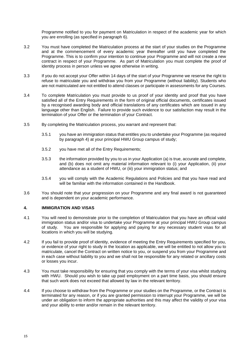Programme notified to you for payment on Matriculation in respect of the academic year for which you are enrolling (as specified in paragraph 6).

- 3.2 You must have completed the Matriculation process at the start of your studies on the Programme and at the commencement of every academic year thereafter until you have completed the Programme. This is to confirm your intention to continue your Programme and will not create a new contract in respect of your Programme. As part of Matriculation you must complete the proof of identity process in person unless we agree otherwise in writing.
- 3.3 If you do not accept your Offer within 14 days of the start of your Programme we reserve the right to refuse to matriculate you and withdraw you from your Programme (without liability). Students who are not matriculated are not entitled to attend classes or participate in assessments for any Courses.
- 3.4 To complete Matriculation you must provide to us proof of your identity and proof that you have satisfied all of the Entry Requirements in the form of original official documents, certificates issued by a recognised awarding body and official translations of any certificates which are issued in any language other than English. Failure to provide such evidence to our satisfaction may result in the termination of your Offer or the termination of your Contract.
- 3.5 By completing the Matriculation process, you warrant and represent that:
	- 3.5.1 you have an immigration status that entitles you to undertake your Programme (as required by paragraph 4) at your principal HWU Group campus of study;
	- 3.5.2 you have met all of the Entry Requirements;
	- 3.5.3 the information provided by you to us in your Application (a) is true, accurate and complete, and (b) does not omit any material information relevant to (i) your Application, (ii) your attendance as a student of HWU, or (iii) your immigration status; and
	- 3.5.4 you will comply with the Academic Regulations and Policies and that you have read and will be familiar with the information contained in the Handbook.
- 3.6 You should note that your progression on your Programme and any final award is not guaranteed and is dependent on your academic performance.

#### **4. IMMIGRATION AND VISAS**

- 4.1 You will need to demonstrate prior to the completion of Matriculation that you have an official valid immigration status and/or visa to undertake your Programme at your principal HWU Group campus of study. You are responsible for applying and paying for any necessary student visas for all locations in which you will be studying.
- 4.2 If you fail to provide proof of identity, evidence of meeting the Entry Requirements specified for you, or evidence of your right to study in the location as applicable, we will be entitled to not allow you to matriculate, cancel the Contract on written notice to you, or suspend you from your Programme and in each case without liability to you and we shall not be responsible for any related or ancillary costs or losses you incur.
- 4.3 You must take responsibility for ensuring that you comply with the terms of your visa whilst studying with HWU. Should you wish to take up paid employment on a part time basis, you should ensure that such work does not exceed that allowed by law in the relevant territory.
- 4.4 If you choose to withdraw from the Programme or your studies on the Programme, or the Contract is terminated for any reason, or if you are granted permission to interrupt your Programme, we will be under an obligation to inform the appropriate authorities and this may affect the validity of your visa and your ability to enter and/or remain in the relevant territory.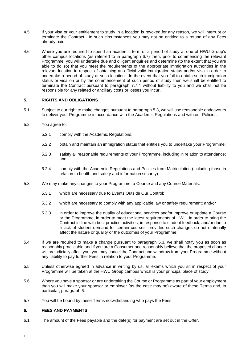- 4.5 If your visa or your entitlement to study in a location is revoked for any reason, we will interrupt or terminate the Contract. In such circumstances you may not be entitled to a refund of any Fees already paid.
- 4.6 Where you are required to spend an academic term or a period of study at one of HWU Group's other campus locations (as referred to in paragraph 6.7) then, prior to commencing the relevant Programme, you will undertake due and diligent enquiries and determine (to the extent that you are able to do so) that you meet the requirements of the appropriate immigration authorities in the relevant location in respect of obtaining an official valid immigration status and/or visa in order to undertake a period of study at such location. In the event that you fail to obtain such immigration status or visa on or by the commencement of such period of study then we shall be entitled to terminate the Contract pursuant to paragraph 7.7.4 without liability to you and we shall not be responsible for any related or ancillary costs or losses you incur.

#### **5. RIGHTS AND OBLIGATIONS**

- 5.1 Subject to our right to make changes pursuant to paragraph [5.3,](#page-15-0) we will use reasonable endeavours to deliver your Programme in accordance with the Academic Regulations and with our Policies.
- 5.2 You agree to:
	- 5.2.1 comply with the Academic Regulations;
	- 5.2.2 obtain and maintain an immigration status that entitles you to undertake your Programme;
	- 5.2.3 satisfy all reasonable requirements of your Programme, including in relation to attendance; and
	- 5.2.4 comply with the Academic Regulations and Policies from Matriculation (including those in relation to health and safety and information security).
- <span id="page-15-0"></span>5.3 We may make any changes to your Programme, a Course and any Course Materials:
	- 5.3.1 which are necessary due to Events Outside Our Control;
	- 5.3.2 which are necessary to comply with any applicable law or safety requirement; and/or
	- 5.3.3 in order to improve the quality of educational services and/or improve or update a Course or the Programme, in order to meet the latest requirements of HWU, in order to bring the Contract in line with best practice activities, in response to student feedback, and/or due to a lack of student demand for certain courses, provided such changes do not materially affect the nature or quality or the outcomes of your Programme.
- <span id="page-15-1"></span>5.4 If we are required to make a change pursuant to paragraph 5.3, we shall notify you as soon as reasonably practicable and if you are a Consumer and reasonably believe that the proposed change will prejudicially affect you, you may cancel the Contract and withdraw from your Programme without any liability to pay further Fees in relation to your Programme.
- 5.5 Unless otherwise agreed in advance in writing by us, all exams which you sit in respect of your Programme will be taken at the HWU Group campus which is your principal place of study.
- 5.6 Where you have a sponsor or are undertaking the Course or Programme as part of your employment then you will make your sponsor or employer (as the case may be) aware of these Terms and, in particular, paragraph 6.
- 5.7 You will be bound by these Terms notwithstanding who pays the Fees.

#### **6. FEES AND PAYMENTS**

6.1 The amount of the Fees payable and the date(s) for payment are set out in the Offer.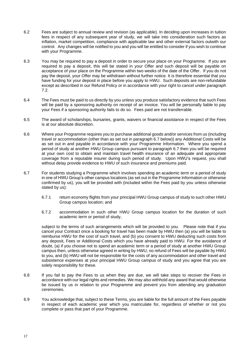- 6.2 Fees are subject to annual review and revision (as applicable). In deciding upon increases in tuition fees in respect of any subsequent year of study, we will take into consideration such factors as inflation, market competition, compliance with applicable law and other external factors outwith our control. Any changes will be notified to you and you will be entitled to consider if you wish to continue with your Programme.
- 6.3 You may be required to pay a deposit in order to secure your place on your Programme. If you are required to pay a deposit, this will be stated in your Offer and such deposit will be payable on acceptance of your place on the Programme within two weeks of the date of the Offer. If you do not pay the deposit, your Offer may be withdrawn without further notice. It is therefore essential that you have funding for your deposit in place before you apply to HWU. Such deposits are non-refundable except as described in our Refund Policy or in accordance with your right to cancel under paragraph 7.2.
- 6.4 The Fees must be paid to us directly by you unless you produce satisfactory evidence that such Fees will be paid by a sponsoring authority on receipt of an invoice. You will be personally liable to pay your Fees if a sponsoring authority fails to do so. Fees paid are not transferrable.
- 6.5 The award of scholarships, bursaries, grants, waivers or financial assistance in respect of the Fees is at our absolute discretion.
- 6.6 Where your Programme requires you to purchase additional goods and/or services from us (including travel or accommodation (other than as set out in paragraph 6.7 below)) any Additional Costs will be as set out in and payable in accordance with your Programme Information. Where you spend a period of study at another HWU Group campus pursuant to paragraph 6.7 then you will be required at your own cost to obtain and maintain travel health insurance of an adequate and appropriate coverage from a reputable insurer during such period of study. Upon HWU's request, you shall without delay provide evidence to HWU of such insurance and premiums paid.
- 6.7 For students studying a Programme which involves spending an academic term or a period of study in one of HWU Group's other campus locations (as set out in the Programme Information or otherwise confirmed by us), you will be provided with (included within the Fees paid by you unless otherwise stated by us):
	- 6.7.1 return economy flights from your principal HWU Group campus of study to such other HWU Group campus location; and
	- 6.7.2 accommodation in such other HWU Group campus location for the duration of such academic term or period of study,

subject to the terms of such arrangements which will be provided to you. Please note that if you cancel your Contract once a booking for travel has been made by HWU then (a) you will be liable to reimburse HWU for the cost of such travel, and (b) you consent to HWU deducting such costs from any deposit, Fees or Additional Costs which you have already paid to HWU. For the avoidance of doubt, (a) if you choose not to spend an academic term or a period of study at another HWU Group campus then, unless otherwise agreed in writing by HWU, no refund of Fees will be payable by HWU to you, and (b) HWU will not be responsible for the costs of any accommodation and other travel and subsistence expenses at your principal HWU Group campus of study and you agree that you are solely responsibility for these.

- 6.8 If you fail to pay the Fees to us when they are due, we will take steps to recover the Fees in accordance with our legal rights and remedies. We may also withhold any award that would otherwise be issued by us in relation to your Programme and prevent you from attending any graduation ceremonies.
- 6.9 You acknowledge that, subject to these Terms, you are liable for the full amount of the Fees payable in respect of each academic year which you matriculate for, regardless of whether or not you complete or pass that part of your Programme.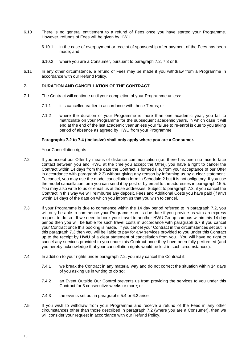- 6.10 There is no general entitlement to a refund of Fees once you have started your Programme. However, refunds of Fees will be given by HWU:
	- 6.10.1 in the case of overpayment or receipt of sponsorship after payment of the Fees has been made; and
	- 6.10.2 where you are a Consumer, pursuant to paragraph [7.2,](#page-17-0) 7.3 or 8.
- 6.11 In any other circumstance, a refund of Fees may be made if you withdraw from a Programme in accordance with our Refund Policy.

#### **7. DURATION AND CANCELLATION OF THE CONTRACT**

- 7.1 The Contract will continue until your completion of your Programme unless:
	- 7.1.1 it is cancelled earlier in accordance with these Terms; or
	- 7.1.2 where the duration of your Programme is more than one academic year, you fail to matriculate on your Programme for the subsequent academic years, in which case it will end at the end of the last academic year unless your failure to re-enrol is due to you taking period of absence as agreed by HWU from your Programme.

#### **Paragraphs 7.2 to 7.4 (inclusive) shall only apply where you are a Consumer.**

#### Your Cancellation rights

- <span id="page-17-0"></span>7.2 If you accept our Offer by means of distance communication (i.e. there has been no face to face contact between you and HWU at the time you accept the Offer), you have a right to cancel the Contract within 14 days from the date the Contract is formed (i.e. from your acceptance of our Offer in accordance with paragraph 2.3) without giving any reason by informing us by a clear statement. To cancel, you may use the model cancellation form in Schedule 2 but it is not obligatory. If you use the model cancellation form you can send it by post or by email [to](mailto:to_admissons@arts.ac.uk) the addresses in paragraph 15.5. You may also write to us or email us at those addresses. Subject to paragraph 7.3, if you cancel the Contract in this way we will reimburse any deposit, Fees and Additional Costs you have paid (if any) within 14 days of the date on which you inform us that you wish to cancel.
- 7.3 If your Programme is due to commence within the 14 day period referred to in paragraph 7.2, you will only be able to commence your Programme on its due date if you provide us with an express request to do so. If we need to book your travel to another HWU Group campus within this 14 day period then you will be liable for such travel costs in accordance with paragraph 6.7 if you cancel your Contract once this booking is made. If you cancel your Contract in the circumstances set out in this paragraph 7.3 then you will be liable to pay for any services provided to you under this Contract up to the receipt by HWU of a clear statement of cancellation from you. You will have no right to cancel any services provided to you under this Contract once they have been fully performed (and you hereby acknowledge that your cancellation rights would be lost in such circumstances).
- 7.4 In addition to your rights under paragraph [7.2,](#page-17-0) you may cancel the Contract if:
	- 7.4.1 we break the Contract in any material way and do not correct the situation within 14 days of you asking us in writing to do so;
	- 7.4.2 an Event Outside Our Control prevents us from providing the services to you under this Contract for 3 consecutive weeks or more; or
	- 7.4.3 the events set out in paragraphs [5.4](#page-15-1) or 6.2 arise.
- 7.5 If you wish to withdraw from your Programme and receive a refund of the Fees in any other circumstances other than those described in paragraph [7.2](#page-17-0) (where you are a Consumer), then we will consider your request in accordance with our Refund Policy.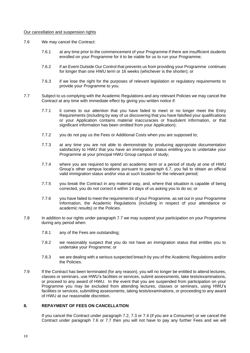#### Our cancellation and suspension rights

- <span id="page-18-1"></span>7.6 We may cancel the Contract:
	- 7.6.1 at any time prior to the commencement of your Programme if there are insufficient students enrolled on your Programme for it to be viable for us to run your Programme;
	- 7.6.2 if an Event Outside Our Control that prevents us from providing your Programme continues for longer than one HWU term or 16 weeks (whichever is the shorter); or
	- 7.6.3 if we lose the right for the purposes of relevant legislation or regulatory requirements to provide your Programme to you.
- <span id="page-18-0"></span>7.7 Subject to us complying with the Academic Regulations and any relevant Policies we may cancel the Contract at any time with immediate effect by giving you written notice if:
	- 7.7.1 it comes to our attention that you have failed to meet or no longer meet the Entry Requirements (including by way of us discovering that you have falsified your qualifications or your Application contains material inaccuracies or fraudulent information, or that significant information has been omitted from your Application);
	- 7.7.2 you do not pay us the Fees or Additional Costs when you are supposed to;
	- 7.7.3 at any time you are not able to demonstrate by producing appropriate documentation satisfactory to HWU that you have an immigration status entitling you to undertake your Programme at your principal HWU Group campus of study;
	- 7.7.4 where you are required to spend an academic term or a period of study at one of HWU Group's other campus locations pursuant to paragraph 6.7, you fail to obtain an official valid immigration status and/or visa at such location for the relevant period;
	- 7.7.5 you break the Contract in any material way, and, where that situation is capable of being corrected, you do not correct it within 14 days of us asking you to do so; or
	- 7.7.6 you have failed to meet the requirements of your Programme, as set out in your Programme Information, the Academic Regulations (including in respect of your attendance or academic results) or the Policies.
- 7.8 In addition to our rights under paragraph [7.7](#page-18-0) we may suspend your participation on your Programme during any period when:
	- 7.8.1 any of the Fees are outstanding;
	- 7.8.2 we reasonably suspect that you do not have an immigration status that entitles you to undertake your Programme; or
	- 7.8.3 we are dealing with a serious suspected breach by you of the Academic Regulations and/or the Policies.
- 7.9 If the Contract has been terminated (for any reason), you will no longer be entitled to attend lectures, classes or seminars, use HWU's facilities or services, submit assessments, take tests/examinations, or proceed to any award of HWU. In the event that you are suspended from participation on your Programme you may be excluded from attending lectures, classes or seminars, using HWU's facilities or services, submitting assessments, taking tests/examinations, or proceeding to any award of HWU at our reasonable discretion.

#### **8. REPAYMENT OF FEES ON CANCELLATION**

If you cancel the Contract under paragraph 7.2, 7.3 or 7.4 (if you are a Consumer) or we cancel the Contract under paragraph [7.6](#page-18-1) or 7.7 then you will not have to pay any further Fees and we will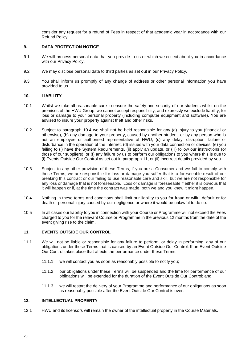consider any request for a refund of Fees in respect of that academic year in accordance with our Refund Policy.

#### **9. DATA PROTECTION NOTICE**

- 9.1 We will process personal data that you provide to us or which we collect about you in accordance with our Privacy Policy.
- 9.2 We may disclose personal data to third parties as set out in our Privacy Policy.
- 9.3 You shall inform us promptly of any change of address or other personal information you have provided to us.

#### **10. LIABILITY**

- 10.1 Whilst we take all reasonable care to ensure the safety and security of our students whilst on the premises of the HWU Group, we cannot accept responsibility, and expressly we exclude liability, for loss or damage to your personal property (including computer equipment and software). You are advised to insure your property against theft and other risks.
- 10.2 Subject to paragraph 10.4 we shall not be held responsible for any (a) injury to you (financial or otherwise), (b) any damage to your property, caused by another student, or by any person who is not an employee or authorised representative of HWU, (c) any delay, disruption, failure or disturbance in the operation of the Internet, (d) issues with your data connection or devices, (e) you failing to (i) have the System Requirements, (ii) apply an update, or (iii) follow our instructions (or those of our suppliers), or (f) any failure by us to perform our obligations to you where this is due to (i) Events Outside Our Control as set out in paragraph 11, or (ii) incorrect details provided by you.
- 10.3 Subject to any other provision of these Terms, if you are a Consumer and we fail to comply with these Terms, we are responsible for loss or damage you suffer that is a foreseeable result of our breaking this contract or our failing to use reasonable care and skill, but we are not responsible for any loss or damage that is not foreseeable. Loss or damage is foreseeable if either it is obvious that it will happen or if, at the time the contract was made, both we and you knew it might happen.
- 10.4 Nothing in these terms and conditions shall limit our liability to you for fraud or wilful default or for death or personal injury caused by our negligence or where it would be unlawful to do so.
- 10.5 In all cases our liability to you in connection with your Course or Programme will not exceed the Fees charged to you for the relevant Course or Programme in the previous 12 months from the date of the event giving rise to the claim.

#### **11. EVENTS OUTSIDE OUR CONTROL**

- 11.1 We will not be liable or responsible for any failure to perform, or delay in performing, any of our obligations under these Terms that is caused by an Event Outside Our Control. If an Event Outside Our Control takes place that affects the performance under these Terms:
	- 11.1.1 we will contact you as soon as reasonably possible to notify you;
	- 11.1.2 our obligations under these Terms will be suspended and the time for performance of our obligations will be extended for the duration of the Event Outside Our Control; and
	- 11.1.3 we will restart the delivery of your Programme and performance of our obligations as soon as reasonably possible after the Event Outside Our Control is over.

#### **12. INTELLECTUAL PROPERTY**

12.1 HWU and its licensors will remain the owner of the intellectual property in the Course Materials.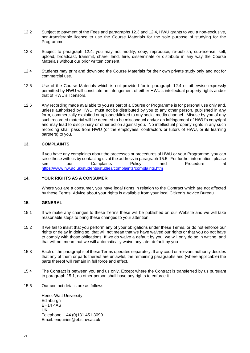- 12.2 Subject to payment of the Fees and paragraphs 12.3 and 12.4, HWU grants to you a non-exclusive, non-transferable licence to use the Course Materials for the sole purpose of studying for the Programme.
- 12.3 Subject to paragraph 12.4, you may not modify, copy, reproduce, re-publish, sub-license, sell, upload, broadcast, transmit, share, lend, hire, disseminate or distribute in any way the Course Materials without our prior written consent.
- 12.4 Students may print and download the Course Materials for their own private study only and not for commercial use.
- 12.5 Use of the Course Materials which is not provided for in paragraph 12.4 or otherwise expressly permitted by HWU will constitute an infringement of either HWU's intellectual property rights and/or that of HWU's licensors.
- 12.6 Any recording made available to you as part of a Course or Programme is for personal use only and, unless authorised by HWU, must not be distributed by you to any other person, published in any form, commercially exploited or uploaded/linked to any social media channel. Misuse by you of any such recorded material will be deemed to be misconduct and/or an infringement of HWU's copyright and may lead to disciplinary or other action against you. No intellectual property rights in any such recording shall pass from HWU (or the employees, contractors or tutors of HWU, or its learning partners) to you.

#### **13. COMPLAINTS**

If you have any complaints about the processes or procedures of HWU or your Programme, you can raise these with us by contacting us at the address in paragraph 15.5. For further information, please see our Complaints Policy and Procedure at <https://www.hw.ac.uk/students/studies/complaints/complaints.htm>

#### **14. YOUR RIGHTS AS A CONSUMER**

Where you are a consumer, you have legal rights in relation to the Contract which are not affected by these Terms. Advice about your rights is available from your local Citizen's Advice Bureau.

#### **15. GENERAL**

- 15.1 If we make any changes to these Terms these will be published on our Website and we will take reasonable steps to bring these changes to your attention.
- 15.2 If we fail to insist that you perform any of your obligations under these Terms, or do not enforce our rights or delay in doing so, that will not mean that we have waived our rights or that you do not have to comply with those obligations. If we do waive a default by you, we will only do so in writing, and that will not mean that we will automatically waive any later default by you.
- 15.3 Each of the paragraphs of these Terms operates separately. If any court or relevant authority decides that any of them or parts thereof are unlawful, the remaining paragraphs and (where applicable) the parts thereof will remain in full force and effect.
- 15.4 The Contract is between you and us only. Except where the Contract is transferred by us pursuant to paragraph 15.1, no other person shall have any rights to enforce it.
- 15.5 Our contact details are as follows:

Heriot-Watt University Edinburgh EH14 4AS UK Telephone: +44 (0)131 451 3090 Email: enquiries@ebs.hw.ac.uk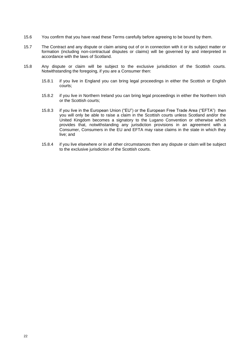- 15.6 You confirm that you have read these Terms carefully before agreeing to be bound by them.
- 15.7 The Contract and any dispute or claim arising out of or in connection with it or its subject matter or formation (including non-contractual disputes or claims) will be governed by and interpreted in accordance with the laws of Scotland.
- 15.8 Any dispute or claim will be subject to the exclusive jurisdiction of the Scottish courts. Notwithstanding the foregoing, if you are a Consumer then:
	- 15.8.1 if you live in England you can bring legal proceedings in either the Scottish or English courts;
	- 15.8.2 if you live in Northern Ireland you can bring legal proceedings in either the Northern Irish or the Scottish courts;
	- 15.8.3 if you live in the European Union ("EU") or the European Free Trade Area ("EFTA") then you will only be able to raise a claim in the Scottish courts unless Scotland and/or the United Kingdom becomes a signatory to the Lugano Convention or otherwise which provides that, notwithstanding any jurisdiction provisions in an agreement with a Consumer, Consumers in the EU and EFTA may raise claims in the state in which they live; and
	- 15.8.4 if you live elsewhere or in all other circumstances then any dispute or claim will be subject to the exclusive jurisdiction of the Scottish courts.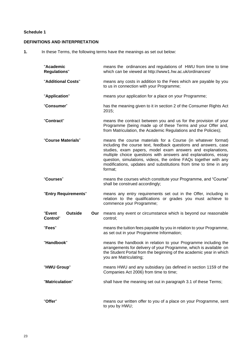#### **Schedule 1**

#### **DEFINITIONS AND INTERPRETATION**

**1.** In these Terms, the following terms have the meanings as set out below:

| "Academic<br><b>Regulations"</b>                   | means the ordinances and regulations of HWU from time to time<br>which can be viewed at http://www1.hw.ac.uk/ordinances/                                                                                                                                                                                                                                                                                            |  |
|----------------------------------------------------|---------------------------------------------------------------------------------------------------------------------------------------------------------------------------------------------------------------------------------------------------------------------------------------------------------------------------------------------------------------------------------------------------------------------|--|
| "Additional Costs"                                 | means any costs in addition to the Fees which are payable by you<br>to us in connection with your Programme;                                                                                                                                                                                                                                                                                                        |  |
| "Application"                                      | means your application for a place on your Programme;                                                                                                                                                                                                                                                                                                                                                               |  |
| "Consumer"                                         | has the meaning given to it in section 2 of the Consumer Rights Act<br>2015;                                                                                                                                                                                                                                                                                                                                        |  |
| "Contract"                                         | means the contract between you and us for the provision of your<br>Programme (being made up of these Terms and your Offer and,<br>from Matriculation, the Academic Regulations and the Policies);                                                                                                                                                                                                                   |  |
| "Course Materials"                                 | means the course materials for a Course (in whatever format)<br>including the course text, feedback questions and answers, case<br>studies, exam papers, model exam answers and explanations,<br>multiple choice questions with answers and explanations, essay<br>question, simulations, videos, the online FAQs together with any<br>modifications, updates and substitutions from time to time in any<br>format: |  |
| "Courses"                                          | means the courses which constitute your Programme, and "Course"<br>shall be construed accordingly;                                                                                                                                                                                                                                                                                                                  |  |
| "Entry Requirements"                               | means any entry requirements set out in the Offer, including in<br>relation to the qualifications or grades you must achieve to<br>commence your Programme;                                                                                                                                                                                                                                                         |  |
| <b>Outside</b><br>"Event<br>Our<br><b>Control"</b> | means any event or circumstance which is beyond our reasonable<br>control;                                                                                                                                                                                                                                                                                                                                          |  |
| "Fees"                                             | means the tuition fees payable by you in relation to your Programme,<br>as set out in your Programme Information;                                                                                                                                                                                                                                                                                                   |  |
| "Handbook"                                         | means the handbook in relation to your Programme including the<br>arrangements for delivery of your Programme, which is available on<br>the Student Portal from the beginning of the academic year in which<br>you are Matriculating;                                                                                                                                                                               |  |
| "HWU Group"                                        | means HWU and any subsidiary (as defined in section 1159 of the<br>Companies Act 2006) from time to time;                                                                                                                                                                                                                                                                                                           |  |
| "Matriculation"                                    | shall have the meaning set out in paragraph 3.1 of these Terms;                                                                                                                                                                                                                                                                                                                                                     |  |
| "Offer"                                            | means our written offer to you of a place on your Programme, sent<br>to you by HWU;                                                                                                                                                                                                                                                                                                                                 |  |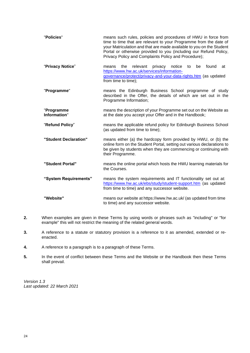| "Policies"                 | means such rules, policies and procedures of HWU in force from<br>time to time that are relevant to your Programme from the date of<br>your Matriculation and that are made available to you on the Student<br>Portal or otherwise provided to you (including our Refund Policy,<br>Privacy Policy and Complaints Policy and Procedure); |  |  |
|----------------------------|------------------------------------------------------------------------------------------------------------------------------------------------------------------------------------------------------------------------------------------------------------------------------------------------------------------------------------------|--|--|
| "Privacy Notice"           | relevant<br>privacy notice<br>found<br>the<br>to<br>be<br>at<br>means<br>https://www.hw.ac.uk/services/information-<br>governance/protect/privacy-and-your-data-rights.htm (as updated<br>from time to time);                                                                                                                            |  |  |
| "Programme"                | means the Edinburgh Business School programme of study<br>described in the Offer, the details of which are set out in the<br>Programme Information;                                                                                                                                                                                      |  |  |
| "Programme<br>Information" | means the description of your Programme set out on the Website as<br>at the date you accept your Offer and in the Handbook;                                                                                                                                                                                                              |  |  |
| "Refund Policy"            | means the applicable refund policy for Edinburgh Business School<br>(as updated from time to time);                                                                                                                                                                                                                                      |  |  |
| "Student Declaration"      | means either (a) the hardcopy form provided by HWU, or (b) the<br>online form on the Student Portal, setting out various declarations to<br>be given by students when they are commencing or continuing with<br>their Programme.                                                                                                         |  |  |
| "Student Portal"           | means the online portal which hosts the HWU learning materials for<br>the Courses.                                                                                                                                                                                                                                                       |  |  |
| "System Requirements"      | means the system requirements and IT functionality set out at:<br>https://www.hw.ac.uk/ebs/study/student-support.htm (as updated<br>from time to time) and any successor website.                                                                                                                                                        |  |  |
| "Website"                  | means our website at https://www.hw.ac.uk/ (as updated from time<br>to time) and any successor website.                                                                                                                                                                                                                                  |  |  |

- **2.** When examples are given in these Terms by using words or phrases such as "including" or "for example" this will not restrict the meaning of the related general words.
- **3.** A reference to a statute or statutory provision is a reference to it as amended, extended or reenacted.
- **4.** A reference to a paragraph is to a paragraph of these Terms.
- **5.** In the event of conflict between these Terms and the Website or the Handbook then these Terms shall prevail.

*Version 1.3 Last updated: 22 March 2021*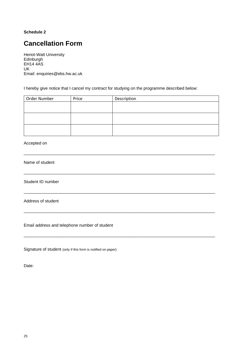#### **Schedule 2**

# **Cancellation Form**

Heriot-Watt University Edinburgh EH14 4AS UK Email: enquiries@ebs.hw.ac.uk

I hereby give notice that I cancel my contract for studying on the programme described below:

| Order Number | Price | Description |
|--------------|-------|-------------|
|              |       |             |
|              |       |             |
|              |       |             |
|              |       |             |
|              |       |             |
|              |       |             |

\_\_\_\_\_\_\_\_\_\_\_\_\_\_\_\_\_\_\_\_\_\_\_\_\_\_\_\_\_\_\_\_\_\_\_\_\_\_\_\_\_\_\_\_\_\_\_\_\_\_\_\_\_\_\_\_\_\_\_\_\_\_\_\_\_\_\_\_\_\_\_\_\_\_\_\_\_\_\_\_\_\_

\_\_\_\_\_\_\_\_\_\_\_\_\_\_\_\_\_\_\_\_\_\_\_\_\_\_\_\_\_\_\_\_\_\_\_\_\_\_\_\_\_\_\_\_\_\_\_\_\_\_\_\_\_\_\_\_\_\_\_\_\_\_\_\_\_\_\_\_\_\_\_\_\_\_\_\_\_\_\_\_\_\_

\_\_\_\_\_\_\_\_\_\_\_\_\_\_\_\_\_\_\_\_\_\_\_\_\_\_\_\_\_\_\_\_\_\_\_\_\_\_\_\_\_\_\_\_\_\_\_\_\_\_\_\_\_\_\_\_\_\_\_\_\_\_\_\_\_\_\_\_\_\_\_\_\_\_\_\_\_\_\_\_\_\_

\_\_\_\_\_\_\_\_\_\_\_\_\_\_\_\_\_\_\_\_\_\_\_\_\_\_\_\_\_\_\_\_\_\_\_\_\_\_\_\_\_\_\_\_\_\_\_\_\_\_\_\_\_\_\_\_\_\_\_\_\_\_\_\_\_\_\_\_\_\_\_\_\_\_\_\_\_\_\_\_\_\_

\_\_\_\_\_\_\_\_\_\_\_\_\_\_\_\_\_\_\_\_\_\_\_\_\_\_\_\_\_\_\_\_\_\_\_\_\_\_\_\_\_\_\_\_\_\_\_\_\_\_\_\_\_\_\_\_\_\_\_\_\_\_\_\_\_\_\_\_\_\_\_\_\_\_\_\_\_\_\_\_\_\_

#### Accepted on

Name of student

Student ID number

Address of student

Email address and telephone number of student

Signature of student (only if this form is notified on paper)

Date: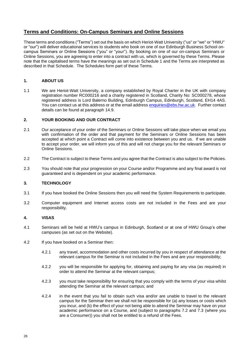### <span id="page-25-0"></span>**Terms and Conditions: On-Campus Seminars and Online Sessions**

These terms and conditions ("Terms") set out the basis on which Heriot-Watt University ("us" or "we" or "HWU" or "our") will deliver educational services to students who book on one of our Edinburgh Business School oncampus Seminars or Online Sessions ("you" or "your"). By booking on one of our on-campus Seminars or Online Sessions, you are agreeing to enter into a contract with us, which is governed by these Terms. Please note that the capitalised terms have the meanings as set out in Schedule 1 and the Terms are interpreted as described in that Schedule. The Schedules form part of these Terms.

#### **1. ABOUT US**

1.1 We are Heriot-Watt University, a company established by Royal Charter in the UK with company registration number RC000216 and a charity registered in Scotland, Charity No: SC000278, whose registered address is Lord Balerno Building, Edinburgh Campus, Edinburgh, Scotland, EH14 4AS. You can contact us at this address or at the email address [enquiries@ebs.hw.ac.uk.](mailto:enquiries@ebs.hw.ac.uk) Further contact details can be found at paragraph 14.9.

#### **2. YOUR BOOKING AND OUR CONTRACT**

- 2.1 Our acceptance of your order of the Seminars or Online Sessions will take place when we email you with confirmation of the order and that payment for the Seminars or Online Sessions has been accepted at which point a Contract will come into existence between you and us. If we are unable to accept your order, we will inform you of this and will not charge you for the relevant Seminars or Online Sessions.
- 2.2 The Contract is subject to these Terms and you agree that the Contract is also subject to the Policies.
- 2.3 You should note that your progression on your Course and/or Programme and any final award is not guaranteed and is dependent on your academic performance.

#### **3. TECHNOLOGY**

- 3.1 If you have booked the Online Sessions then you will need the System Requirements to participate.
- 3.2 Computer equipment and Internet access costs are not included in the Fees and are your responsibility.

#### **4. VISAS**

- 4.1 Seminars will be held at HWU's campus in Edinburgh, Scotland or at one of HWU Group's other campuses (as set out on the Website).
- 4.2 If you have booked on a Seminar then:
	- 4.2.1 any travel, accommodation and other costs incurred by you in respect of attendance at the relevant campus for the Seminar is not included in the Fees and are your responsibility;
	- 4.2.2 you will be responsible for applying for, obtaining and paying for any visa (as required) in order to attend the Seminar at the relevant campus;
	- 4.2.3 you must take responsibility for ensuring that you comply with the terms of your visa whilst attending the Seminar at the relevant campus; and
	- 4.2.4 in the event that you fail to obtain such visa and/or are unable to travel to the relevant campus for the Seminar then we shall not be responsible for (a) any losses or costs which you incur, and (b) the effect of your not being able to attend the Seminar may have on your academic performance on a Course, and (subject to paragraphs 7.2 and 7.3 (where you are a Consumer)) you shall not be entitled to a refund of the Fees.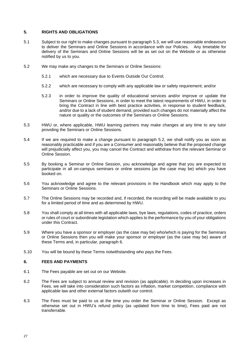#### **5. RIGHTS AND OBLIGATIONS**

- 5.1 Subject to our right to make changes pursuant to paragraph [5.3,](#page-15-0) we will use reasonable endeavours to deliver the Seminars and Online Sessions in accordance with our Policies. Any timetable for delivery of the Seminars and Online Sessions will be as set out on the Website or as otherwise notified by us to you.
- 5.2 We may make any changes to the Seminars or Online Sessions:
	- 5.2.1 which are necessary due to Events Outside Our Control;
	- 5.2.2 which are necessary to comply with any applicable law or safety requirement; and/or
	- 5.2.3 in order to improve the quality of educational services and/or improve or update the Seminars or Online Sessions, in order to meet the latest requirements of HWU, in order to bring the Contract in line with best practice activities, in response to student feedback, and/or due to a lack of student demand, provided such changes do not materially affect the nature or quality or the outcomes of the Seminars or Online Sessions.
- 5.3 HWU or, where applicable, HWU learning partners may make changes at any time to any tutor providing the Seminars or Online Sessions.
- 5.4 If we are required to make a change pursuant to paragraph 5.2, we shall notify you as soon as reasonably practicable and if you are a Consumer and reasonably believe that the proposed change will prejudicially affect you, you may cancel the Contract and withdraw from the relevant Seminar or Online Session.
- 5.5 By booking a Seminar or Online Session, you acknowledge and agree that you are expected to participate in all on-campus seminars or online sessions (as the case may be) which you have booked on.
- 5.6 You acknowledge and agree to the relevant provisions in the Handbook which may apply to the Seminars or Online Sessions.
- 5.7 The Online Sessions may be recorded and, if recorded, the recording will be made available to you for a limited period of time and as determined by HWU.
- 5.8 You shall comply at all times with all applicable laws, bye laws, regulations, codes of practice, orders or rules of court or subordinate legislation which applies to the performance by you of your obligations under this Contract.
- 5.9 Where you have a sponsor or employer (as the case may be) who/which is paying for the Seminars or Online Sessions then you will make your sponsor or employer (as the case may be) aware of these Terms and, in particular, paragraph 6.
- 5.10 You will be bound by these Terms notwithstanding who pays the Fees.

#### **6. FEES AND PAYMENTS**

- 6.1 The Fees payable are set out on our Website.
- 6.2 The Fees are subject to annual review and revision (as applicable). In deciding upon increases in Fees, we will take into consideration such factors as inflation, market competition, compliance with applicable law and other external factors outwith our control.
- 6.3 The Fees must be paid to us at the time you order the Seminar or Online Session. Except as otherwise set out in HWU's refund policy (as updated from time to time), Fees paid are not transferrable.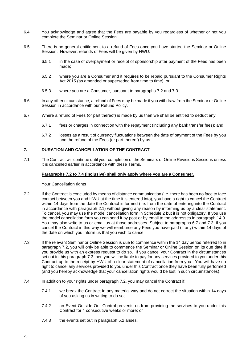- 6.4 You acknowledge and agree that the Fees are payable by you regardless of whether or not you complete the Seminar or Online Session.
- 6.5 There is no general entitlement to a refund of Fees once you have started the Seminar or Online Session. However, refunds of Fees will be given by HWU:
	- 6.5.1 in the case of overpayment or receipt of sponsorship after payment of the Fees has been made;
	- 6.5.2 where you are a Consumer and it requires to be repaid pursuant to the Consumer Rights Act 2015 (as amended or superseded from time to time); or
	- 6.5.3 where you are a Consumer, pursuant to paragraphs [7.2](#page-17-0) and 7.3.
- 6.6 In any other circumstance, a refund of Fees may be made if you withdraw from the Seminar or Online Session in accordance with our Refund Policy.
- 6.7 Where a refund of Fees (or part thereof) is made by us then we shall be entitled to deduct any:
	- 6.7.1 fees or charges in connection with the repayment (including any bank transfer fees); and
	- 6.7.2 losses as a result of currency fluctuations between the date of payment of the Fees by you and the refund of the Fees (or part thereof) by us.

#### **7. DURATION AND CANCELLATION OF THE CONTRACT**

7.1 The Contract will continue until your completion of the Seminars or Online Revisions Sessions unless it is cancelled earlier in accordance with these Terms.

#### **Paragraphs 7.2 to 7.4 (inclusive) shall only apply where you are a Consumer.**

#### Your Cancellation rights

- 7.2 If the Contract is concluded by means of distance communication (i.e. there has been no face to face contact between you and HWU at the time it is entered into), you have a right to cancel the Contract within 14 days from the date the Contract is formed (i.e. from the date of entering into the Contract in accordance with paragraph 2.1) without giving any reason by informing us by a clear statement. To cancel, you may use the model cancellation form in Schedule 2 but it is not obligatory. If you use the model cancellation form you can send it by post or by email [to](mailto:to_admissons@arts.ac.uk) the addresses in paragraph 14.9. You may also write to us or email us at those addresses. Subject to paragraphs 6.7 and 7.3, if you cancel the Contract in this way we will reimburse any Fees you have paid (if any) within 14 days of the date on which you inform us that you wish to cancel.
- 7.3 If the relevant Seminar or Online Session is due to commence within the 14 day period referred to in paragraph 7.2, you will only be able to commence the Seminar or Online Session on its due date if you provide us with an express request to do so. If you cancel your Contract in the circumstances set out in this paragraph 7.3 then you will be liable to pay for any services provided to you under this Contract up to the receipt by HWU of a clear statement of cancellation from you. You will have no right to cancel any services provided to you under this Contract once they have been fully performed (and you hereby acknowledge that your cancellation rights would be lost in such circumstances).
- 7.4 In addition to your rights under paragraph [7.2,](#page-17-0) you may cancel the Contract if:
	- 7.4.1 we break the Contract in any material way and do not correct the situation within 14 days of you asking us in writing to do so;
	- 7.4.2 an Event Outside Our Control prevents us from providing the services to you under this Contract for 4 consecutive weeks or more; or
	- 7.4.3 the events set out in paragraph 5.2 arises.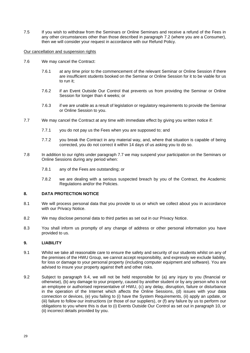7.5 If you wish to withdraw from the Seminars or Online Seminars and receive a refund of the Fees in any other circumstances other than those described in paragraph [7.2](#page-17-0) (where you are a Consumer), then we will consider your request in accordance with our Refund Policy.

#### Our cancellation and suspension rights

- 7.6 We may cancel the Contract:
	- 7.6.1 at any time prior to the commencement of the relevant Seminar or Online Session if there are insufficient students booked on the Seminar or Online Session for it to be viable for us to run it;
	- 7.6.2 if an Event Outside Our Control that prevents us from providing the Seminar or Online Session for longer than 4 weeks; or
	- 7.6.3 if we are unable as a result of legislation or regulatory requirements to provide the Seminar or Online Session to you.
- 7.7 We may cancel the Contract at any time with immediate effect by giving you written notice if:
	- 7.7.1 you do not pay us the Fees when you are supposed to; and
	- 7.7.2 you break the Contract in any material way, and, where that situation is capable of being corrected, you do not correct it within 14 days of us asking you to do so.
- 7.8 In addition to our rights under paragraph [7.7](#page-18-0) we may suspend your participation on the Seminars or Online Sessions during any period when:
	- 7.8.1 any of the Fees are outstanding; or
	- 7.8.2 we are dealing with a serious suspected breach by you of the Contract, the Academic Regulations and/or the Policies.

#### **8. DATA PROTECTION NOTICE**

- 8.1 We will process personal data that you provide to us or which we collect about you in accordance with our Privacy Notice.
- 8.2 We may disclose personal data to third parties as set out in our Privacy Notice.
- 8.3 You shall inform us promptly of any change of address or other personal information you have provided to us.

#### **9. LIABILITY**

- 9.1 Whilst we take all reasonable care to ensure the safety and security of our students whilst on any of the premises of the HWU Group, we cannot accept responsibility, and expressly we exclude liability, for loss or damage to your personal property (including computer equipment and software). You are advised to insure your property against theft and other risks.
- 9.2 Subject to paragraph 9.4, we will not be held responsible for (a) any injury to you (financial or otherwise), (b) any damage to your property, caused by another student or by any person who is not an employee or authorised representative of HWU, (c) any delay, disruption, failure or disturbance in the operation of the Internet which affects the Online Sessions, (d) issues with your data connection or devices, (e) you failing to (i) have the System Requirements, (ii) apply an update, or (iii) failure to follow our instructions (or those of our suppliers), or (f) any failure by us to perform our obligations to you where this is due to (i) Events Outside Our Control as set out in paragraph 10, or (ii) incorrect details provided by you.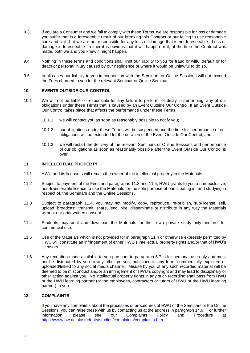- 9.3 If you are a Consumer and we fail to comply with these Terms, we are responsible for loss or damage you suffer that is a foreseeable result of our breaking this Contract or our failing to use reasonable care and skill, but we are not responsible for any loss or damage that is not foreseeable. Loss or damage is foreseeable if either it is obvious that it will happen or if, at the time the Contract was made, both we and you knew it might happen.
- 9.4 Nothing in these terms and conditions shall limit our liability to you for fraud or wilful default or for death or personal injury caused by our negligence or where it would be unlawful to do so.
- 9.5 In all cases our liability to you in connection with the Seminars or Online Sessions will not exceed the Fees charged to you for the relevant Seminar or Online Seminar.

#### **10. EVENTS OUTSIDE OUR CONTROL**

- 10.1 We will not be liable or responsible for any failure to perform, or delay in performing, any of our obligations under these Terms that is caused by an Event Outside Our Control. If an Event Outside Our Control takes place that affects the performance under these Terms:
	- 10.1.1 we will contact you as soon as reasonably possible to notify you;
	- 10.1.2 our obligations under these Terms will be suspended and the time for performance of our obligations will be extended for the duration of the Event Outside Our Control; and
	- 10.1.3 we will restart the delivery of the relevant Seminars or Online Sessions and performance of our obligations as soon as reasonably possible after the Event Outside Our Control is over.

#### **11. INTELLECTUAL PROPERTY**

- 11.1 HWU and its licensors will remain the owner of the intellectual property in the Materials.
- 11.2 Subject to payment of the Fees and paragraphs 11.3 and 11.4, HWU grants to you a non-exclusive, non-transferable licence to use the Materials for the sole purpose of participating in, and studying in respect of, the Seminars and the Online Sessions.
- 11.3 Subject to paragraph 11.4, you may not modify, copy, reproduce, re-publish, sub-license, sell, upload, broadcast, transmit, share, lend, hire, disseminate or distribute in any way the Materials without our prior written consent.
- 11.4 Students may print and download the Materials for their own private study only and not for commercial use.
- 11.5 Use of the Materials which is not provided for in paragraph 11.4 or otherwise expressly permitted by HWU will constitute an infringement of either HWU's intellectual property rights and/or that of HWU's licensors.
- 11.6 Any recording made available to you pursuant to paragraph 5.7 is for personal use only and must not be distributed by you to any other person, published in any form, commercially exploited or uploaded/linked to any social media channel. Misuse by you of any such recorded material will be deemed to be misconduct and/or an infringement of HWU's copyright and may lead to disciplinary or other action against you. No intellectual property rights in any such recording shall pass from HWU or the HWU learning partner (or the employees, contractors or tutors of HWU or the HWU learning partner) to you.

#### **12. COMPLAINTS**

If you have any complaints about the processes or procedures of HWU or the Seminars or the Online Sessions, you can raise these with us by contacting us at the address in paragraph 14.9. For further information, please see our Complaints Policy and Procedure at <https://www.hw.ac.uk/students/studies/complaints/complaints.htm>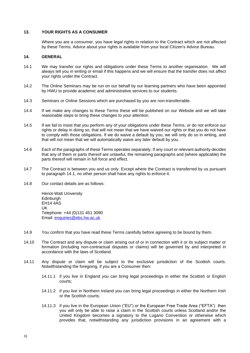#### **13. YOUR RIGHTS AS A CONSUMER**

Where you are a consumer, you have legal rights in relation to the Contract which are not affected by these Terms. Advice about your rights is available from your local Citizen's Advice Bureau.

#### **14. GENERAL**

- 14.1 We may transfer our rights and obligations under these Terms to another organisation. We will always tell you in writing or email if this happens and we will ensure that the transfer does not affect your rights under the Contract.
- 14.2 The Online Seminars may be run on our behalf by our learning partners who have been appointed by HWU to provide academic and administrative services to our students.
- 14.3 Seminars or Online Sessions which are purchased by you are non-transferrable.
- 14.4 If we make any changes to these Terms these will be published on our Website and we will take reasonable steps to bring these changes to your attention.
- 14.5 If we fail to insist that you perform any of your obligations under these Terms, or do not enforce our rights or delay in doing so, that will not mean that we have waived our rights or that you do not have to comply with those obligations. If we do waive a default by you, we will only do so in writing, and that will not mean that we will automatically waive any later default by you.
- 14.6 Each of the paragraphs of these Terms operates separately. If any court or relevant authority decides that any of them or parts thereof are unlawful, the remaining paragraphs and (where applicable) the parts thereof will remain in full force and effect.
- 14.7 The Contract is between you and us only. Except where the Contract is transferred by us pursuant to paragraph 14.1, no other person shall have any rights to enforce it.
- 14.8 Our contact details are as follows:

Heriot-Watt University **Edinburgh** EH14 4AS UK Telephone: +44 (0)131 451 3090 Email: [enquiries@ebs.hw.ac.uk](mailto:enquiries@ebs.hw.ac.uk)

- 14.9 You confirm that you have read these Terms carefully before agreeing to be bound by them.
- 14.10 The Contract and any dispute or claim arising out of or in connection with it or its subject matter or formation (including non-contractual disputes or claims) will be governed by and interpreted in accordance with the laws of Scotland.
- 14.11 Any dispute or claim will be subject to the exclusive jurisdiction of the Scottish courts. Notwithstanding the foregoing, if you are a Consumer then:
	- 14.11.1 if you live in England you can bring legal proceedings in either the Scottish or English courts;
	- 14.11.2 if you live in Northern Ireland you can bring legal proceedings in either the Northern Irish or the Scottish courts;
	- 14.11.3 if you live in the European Union ("EU") or the European Free Trade Area ("EFTA") then you will only be able to raise a claim in the Scottish courts unless Scotland and/or the United Kingdom becomes a signatory to the Lugano Convention or otherwise which provides that, notwithstanding any jurisdiction provisions in an agreement with a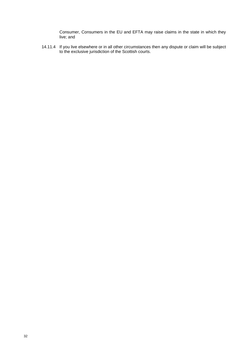Consumer, Consumers in the EU and EFTA may raise claims in the state in which they live; and

14.11.4 If you live elsewhere or in all other circumstances then any dispute or claim will be subject to the exclusive jurisdiction of the Scottish courts.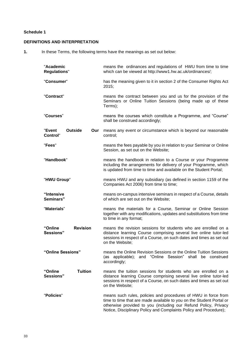#### **Schedule 1**

#### **DEFINITIONS AND INTERPRETATION**

**1.** In these Terms, the following terms have the meanings as set out below:

| "Academic<br><b>Regulations"</b>                   | means the ordinances and regulations of HWU from time to time<br>which can be viewed at http://www1.hw.ac.uk/ordinances/;                                                                                                                                                      |
|----------------------------------------------------|--------------------------------------------------------------------------------------------------------------------------------------------------------------------------------------------------------------------------------------------------------------------------------|
| "Consumer"                                         | has the meaning given to it in section 2 of the Consumer Rights Act<br>2015;                                                                                                                                                                                                   |
| "Contract"                                         | means the contract between you and us for the provision of the<br>Seminars or Online Tuition Sessions (being made up of these<br>Terms);                                                                                                                                       |
| "Courses"                                          | means the courses which constitute a Programme, and "Course"<br>shall be construed accordingly;                                                                                                                                                                                |
| "Event<br><b>Outside</b><br>Our<br><b>Control"</b> | means any event or circumstance which is beyond our reasonable<br>control;                                                                                                                                                                                                     |
| "Fees"                                             | means the fees payable by you in relation to your Seminar or Online<br>Session, as set out on the Website;                                                                                                                                                                     |
| "Handbook"                                         | means the handbook in relation to a Course or your Programme<br>including the arrangements for delivery of your Programme, which<br>is updated from time to time and available on the Student Portal;                                                                          |
| "HWU Group"                                        | means HWU and any subsidiary (as defined in section 1159 of the<br>Companies Act 2006) from time to time;                                                                                                                                                                      |
| "Intensive<br>Seminars"                            | means on-campus intensive seminars in respect of a Course, details<br>of which are set out on the Website;                                                                                                                                                                     |
| "Materials"                                        | means the materials for a Course, Seminar or Online Session<br>together with any modifications, updates and substitutions from time<br>to time in any format;                                                                                                                  |
| <b>Revision</b><br>"Online<br>Sessions"            | means the revision sessions for students who are enrolled on a<br>distance learning Course comprising several live online tutor-led<br>sessions in respect of a Course, on such dates and times as set out<br>on the Website;                                                  |
| "Online Sessions"                                  | means the Online Revision Sessions or the Online Tuition Sessions<br>and "Online Session"<br>shall be construed<br>applicable);<br>(as<br>accordingly;                                                                                                                         |
| <b>Tuition</b><br>"Online<br>Sessions"             | means the tuition sessions for students who are enrolled on a<br>distance learning Course comprising several live online tutor-led<br>sessions in respect of a Course, on such dates and times as set out<br>on the Website;                                                   |
| "Policies"                                         | means such rules, policies and procedures of HWU in force from<br>time to time that are made available to you on the Student Portal or<br>otherwise provided to you (including our Refund Policy, Privacy<br>Notice, Disciplinary Policy and Complaints Policy and Procedure); |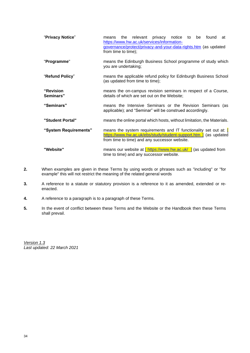| "Privacy Notice"       | the relevant privacy notice to be found at<br>means<br>https://www.hw.ac.uk/services/information-<br>governance/protect/privacy-and-your-data-rights.htm (as updated<br>from time to time);        |  |  |
|------------------------|----------------------------------------------------------------------------------------------------------------------------------------------------------------------------------------------------|--|--|
| "Programme"            | means the Edinburgh Business School programme of study which<br>you are undertaking;                                                                                                               |  |  |
| "Refund Policy"        | means the applicable refund policy for Edinburgh Business School<br>(as updated from time to time);                                                                                                |  |  |
| "Revision<br>Seminars" | means the on-campus revision seminars in respect of a Course,<br>details of which are set out on the Website;                                                                                      |  |  |
| "Seminars"             | means the Intensive Seminars or the Revision Seminars (as<br>applicable); and "Seminar" will be construed accordingly.                                                                             |  |  |
| "Student Portal"       | means the online portal which hosts, without limitation, the Materials.                                                                                                                            |  |  |
| "System Requirements"  | means the system requirements and IT functionality set out at: $\blacksquare$<br>https://www.hw.ac.uk/ebs/study/student-support.htm ] (as updated<br>from time to time) and any successor website. |  |  |
| "Website"              | means our website at $\int$ https://www.hw.ac.uk/ $\int$ (as updated from<br>time to time) and any successor website.                                                                              |  |  |

- **2.** When examples are given in these Terms by using words or phrases such as "including" or "for example" this will not restrict the meaning of the related general words
- **3.** A reference to a statute or statutory provision is a reference to it as amended, extended or reenacted.
- **4.** A reference to a paragraph is to a paragraph of these Terms.
- **5.** In the event of conflict between these Terms and the Website or the Handbook then these Terms shall prevail.

*Version 1.3 Last updated: 22 March 2021*